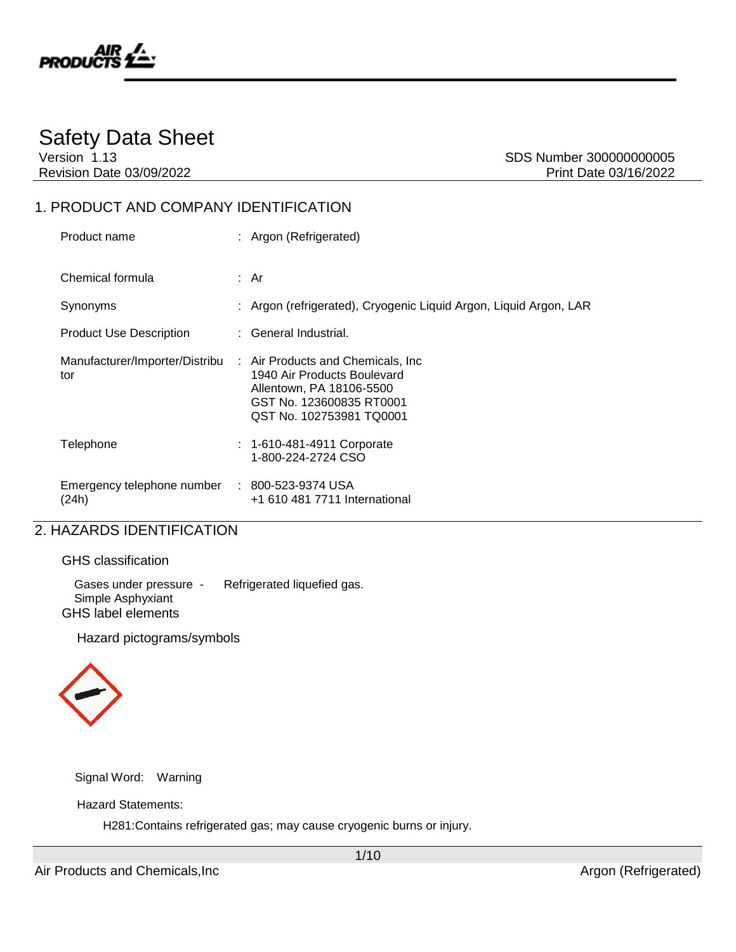

# Safety Data Sheet

Version 1.13 SDS Number 300000000005

# 1. PRODUCT AND COMPANY IDENTIFICATION

| Product name                                           | : Argon (Refrigerated)                                                                                                                                                              |
|--------------------------------------------------------|-------------------------------------------------------------------------------------------------------------------------------------------------------------------------------------|
| Chemical formula                                       | : Ar                                                                                                                                                                                |
| Synonyms                                               | : Argon (refrigerated), Cryogenic Liquid Argon, Liquid Argon, LAR                                                                                                                   |
| <b>Product Use Description</b>                         | : General Industrial.                                                                                                                                                               |
| tor                                                    | Manufacturer/Importer/Distribu : Air Products and Chemicals, Inc<br>1940 Air Products Boulevard<br>Allentown, PA 18106-5500<br>GST No. 123600835 RT0001<br>QST No. 102753981 TQ0001 |
| Telephone                                              | $: 1 - 610 - 481 - 4911$ Corporate<br>1-800-224-2724 CSO                                                                                                                            |
| Emergency telephone number : 800-523-9374 USA<br>(24h) | +1 610 481 7711 International                                                                                                                                                       |

### 2. HAZARDS IDENTIFICATION

GHS label elements

| <b>GHS</b> classification                   |                             |
|---------------------------------------------|-----------------------------|
| Gases under pressure -<br>Simple Asphyxiant | Refrigerated liquefied gas. |

Hazard pictograms/symbols



Signal Word: Warning

Hazard Statements:

H281:Contains refrigerated gas; may cause cryogenic burns or injury.

1/10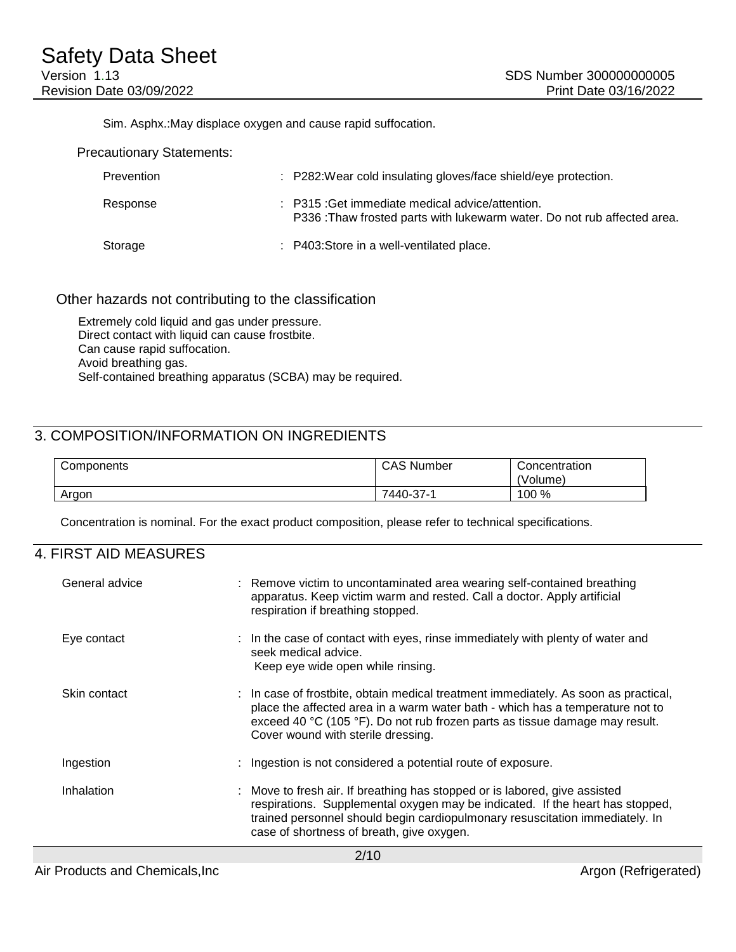Sim. Asphx.:May displace oxygen and cause rapid suffocation.

Precautionary Statements:

| Prevention | : P282: Wear cold insulating gloves/face shield/eye protection.                                                             |
|------------|-----------------------------------------------------------------------------------------------------------------------------|
| Response   | : P315 : Get immediate medical advice/attention.<br>P336: Thaw frosted parts with lukewarm water. Do not rub affected area. |
| Storage    | : P403:Store in a well-ventilated place.                                                                                    |

#### Other hazards not contributing to the classification

Extremely cold liquid and gas under pressure. Direct contact with liquid can cause frostbite. Can cause rapid suffocation. Avoid breathing gas. Self-contained breathing apparatus (SCBA) may be required.

### 3. COMPOSITION/INFORMATION ON INGREDIENTS

| Components | <b>CAS Number</b> | Concentration<br>'Volume) |
|------------|-------------------|---------------------------|
| Argon      | 7440-37-1         | 100 %                     |

Concentration is nominal. For the exact product composition, please refer to technical specifications.

#### 4. FIRST AID MEASURES

| General advice |  | : Remove victim to uncontaminated area wearing self-contained breathing<br>apparatus. Keep victim warm and rested. Call a doctor. Apply artificial<br>respiration if breathing stopped.                                                                                                   |  |
|----------------|--|-------------------------------------------------------------------------------------------------------------------------------------------------------------------------------------------------------------------------------------------------------------------------------------------|--|
| Eye contact    |  | : In the case of contact with eyes, rinse immediately with plenty of water and<br>seek medical advice.<br>Keep eye wide open while rinsing.                                                                                                                                               |  |
| Skin contact   |  | : In case of frostbite, obtain medical treatment immediately. As soon as practical,<br>place the affected area in a warm water bath - which has a temperature not to<br>exceed 40 °C (105 °F). Do not rub frozen parts as tissue damage may result.<br>Cover wound with sterile dressing. |  |
| Ingestion      |  | : Ingestion is not considered a potential route of exposure.                                                                                                                                                                                                                              |  |
| Inhalation     |  | : Move to fresh air. If breathing has stopped or is labored, give assisted<br>respirations. Supplemental oxygen may be indicated. If the heart has stopped,<br>trained personnel should begin cardiopulmonary resuscitation immediately. In<br>case of shortness of breath, give oxygen.  |  |
| 0/40           |  |                                                                                                                                                                                                                                                                                           |  |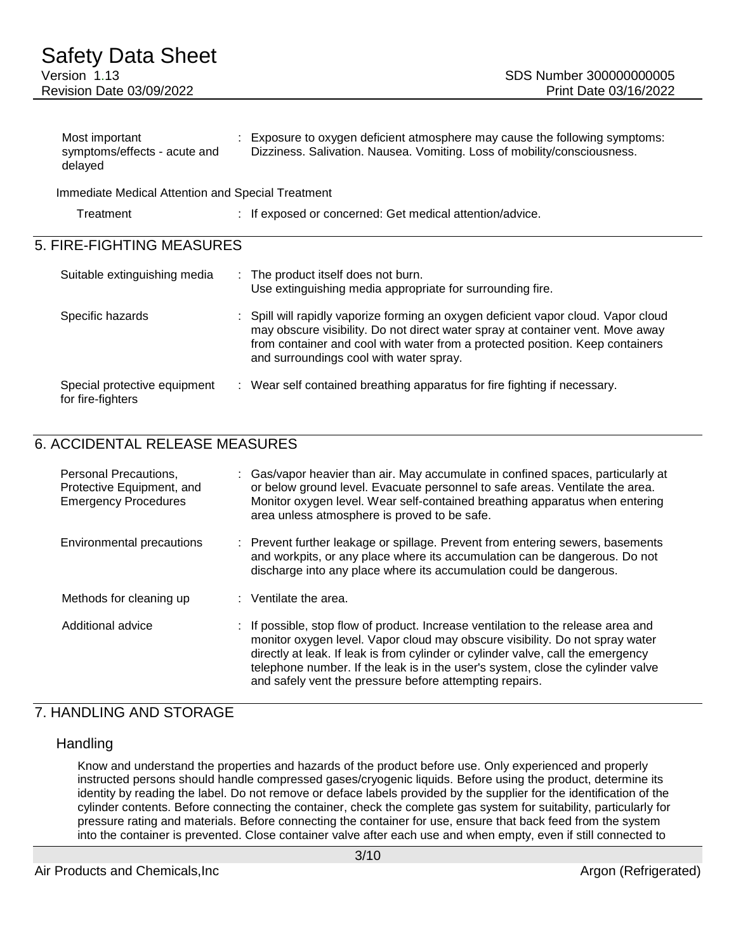### Safety Data Sheet Version 1.13 SDS Number 300000000005 Revision Date 03/09/2022 Print Date 03/16/2022

| Most important               | Exposure to oxygen deficient atmosphere may cause the following symptoms: |
|------------------------------|---------------------------------------------------------------------------|
| symptoms/effects - acute and | Dizziness. Salivation. Nausea. Vomiting. Loss of mobility/consciousness.  |
| delayed                      |                                                                           |

Immediate Medical Attention and Special Treatment

| Treatment |  | If exposed or concerned: Get medical attention/advice. |
|-----------|--|--------------------------------------------------------|
|-----------|--|--------------------------------------------------------|

### 5. FIRE-FIGHTING MEASURES

| Suitable extinguishing media                      | : The product itself does not burn.<br>Use extinguishing media appropriate for surrounding fire.                                                                                                                                                                                                 |
|---------------------------------------------------|--------------------------------------------------------------------------------------------------------------------------------------------------------------------------------------------------------------------------------------------------------------------------------------------------|
| Specific hazards                                  | : Spill will rapidly vaporize forming an oxygen deficient vapor cloud. Vapor cloud<br>may obscure visibility. Do not direct water spray at container vent. Move away<br>from container and cool with water from a protected position. Keep containers<br>and surroundings cool with water spray. |
| Special protective equipment<br>for fire-fighters | : Wear self contained breathing apparatus for fire fighting if necessary.                                                                                                                                                                                                                        |

### 6. ACCIDENTAL RELEASE MEASURES

| Personal Precautions,<br>Protective Equipment, and<br><b>Emergency Procedures</b> | Gas/vapor heavier than air. May accumulate in confined spaces, particularly at<br>or below ground level. Evacuate personnel to safe areas. Ventilate the area.<br>Monitor oxygen level. Wear self-contained breathing apparatus when entering<br>area unless atmosphere is proved to be safe.                                                                                                       |
|-----------------------------------------------------------------------------------|-----------------------------------------------------------------------------------------------------------------------------------------------------------------------------------------------------------------------------------------------------------------------------------------------------------------------------------------------------------------------------------------------------|
| Environmental precautions                                                         | : Prevent further leakage or spillage. Prevent from entering sewers, basements<br>and workpits, or any place where its accumulation can be dangerous. Do not<br>discharge into any place where its accumulation could be dangerous.                                                                                                                                                                 |
| Methods for cleaning up                                                           | $:$ Ventilate the area.                                                                                                                                                                                                                                                                                                                                                                             |
| Additional advice                                                                 | : If possible, stop flow of product. Increase ventilation to the release area and<br>monitor oxygen level. Vapor cloud may obscure visibility. Do not spray water<br>directly at leak. If leak is from cylinder or cylinder valve, call the emergency<br>telephone number. If the leak is in the user's system, close the cylinder valve<br>and safely vent the pressure before attempting repairs. |

#### 7. HANDLING AND STORAGE

#### **Handling**

Know and understand the properties and hazards of the product before use. Only experienced and properly instructed persons should handle compressed gases/cryogenic liquids. Before using the product, determine its identity by reading the label. Do not remove or deface labels provided by the supplier for the identification of the cylinder contents. Before connecting the container, check the complete gas system for suitability, particularly for pressure rating and materials. Before connecting the container for use, ensure that back feed from the system into the container is prevented. Close container valve after each use and when empty, even if still connected to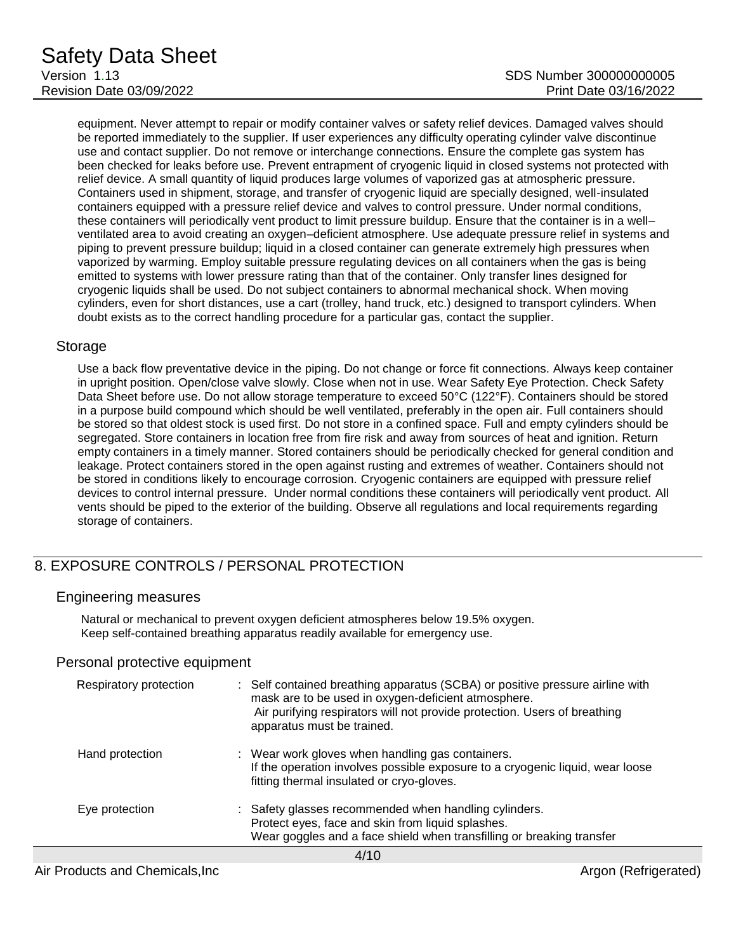equipment. Never attempt to repair or modify container valves or safety relief devices. Damaged valves should be reported immediately to the supplier. If user experiences any difficulty operating cylinder valve discontinue use and contact supplier. Do not remove or interchange connections. Ensure the complete gas system has been checked for leaks before use. Prevent entrapment of cryogenic liquid in closed systems not protected with relief device. A small quantity of liquid produces large volumes of vaporized gas at atmospheric pressure. Containers used in shipment, storage, and transfer of cryogenic liquid are specially designed, well-insulated containers equipped with a pressure relief device and valves to control pressure. Under normal conditions, these containers will periodically vent product to limit pressure buildup. Ensure that the container is in a well– ventilated area to avoid creating an oxygen–deficient atmosphere. Use adequate pressure relief in systems and piping to prevent pressure buildup; liquid in a closed container can generate extremely high pressures when vaporized by warming. Employ suitable pressure regulating devices on all containers when the gas is being emitted to systems with lower pressure rating than that of the container. Only transfer lines designed for cryogenic liquids shall be used. Do not subject containers to abnormal mechanical shock. When moving cylinders, even for short distances, use a cart (trolley, hand truck, etc.) designed to transport cylinders. When doubt exists as to the correct handling procedure for a particular gas, contact the supplier.

#### Storage

Use a back flow preventative device in the piping. Do not change or force fit connections. Always keep container in upright position. Open/close valve slowly. Close when not in use. Wear Safety Eye Protection. Check Safety Data Sheet before use. Do not allow storage temperature to exceed 50°C (122°F). Containers should be stored in a purpose build compound which should be well ventilated, preferably in the open air. Full containers should be stored so that oldest stock is used first. Do not store in a confined space. Full and empty cylinders should be segregated. Store containers in location free from fire risk and away from sources of heat and ignition. Return empty containers in a timely manner. Stored containers should be periodically checked for general condition and leakage. Protect containers stored in the open against rusting and extremes of weather. Containers should not be stored in conditions likely to encourage corrosion. Cryogenic containers are equipped with pressure relief devices to control internal pressure. Under normal conditions these containers will periodically vent product. All vents should be piped to the exterior of the building. Observe all regulations and local requirements regarding storage of containers.

# 8. EXPOSURE CONTROLS / PERSONAL PROTECTION

#### Engineering measures

Natural or mechanical to prevent oxygen deficient atmospheres below 19.5% oxygen. Keep self-contained breathing apparatus readily available for emergency use.

#### Personal protective equipment

| Respiratory protection | : Self contained breathing apparatus (SCBA) or positive pressure airline with<br>mask are to be used in oxygen-deficient atmosphere.<br>Air purifying respirators will not provide protection. Users of breathing<br>apparatus must be trained. |  |  |
|------------------------|-------------------------------------------------------------------------------------------------------------------------------------------------------------------------------------------------------------------------------------------------|--|--|
| Hand protection        | : Wear work gloves when handling gas containers.<br>If the operation involves possible exposure to a cryogenic liquid, wear loose<br>fitting thermal insulated or cryo-gloves.                                                                  |  |  |
| Eye protection         | : Safety glasses recommended when handling cylinders.<br>Protect eyes, face and skin from liquid splashes.<br>Wear goggles and a face shield when transfilling or breaking transfer                                                             |  |  |
|                        |                                                                                                                                                                                                                                                 |  |  |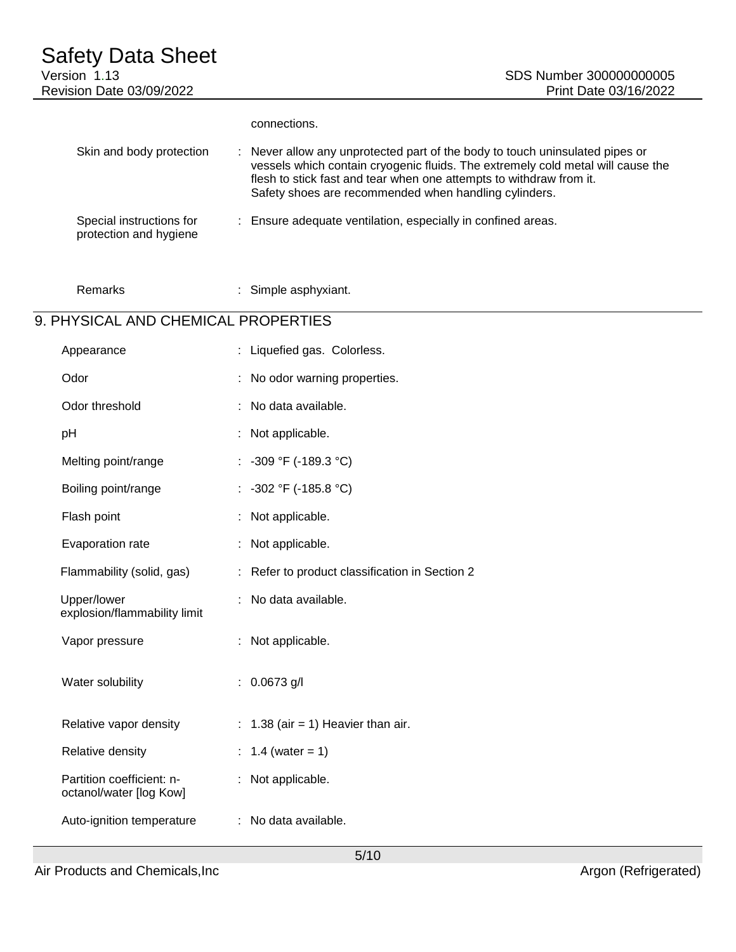# Safety Data Sheet Version 1.13 SDS Number 300000000005 Revision Date 03/09/2022 **Print Date 03/16/2022** connections. Skin and body protection : Never allow any unprotected part of the body to touch uninsulated pipes or vessels which contain cryogenic fluids. The extremely cold metal will cause the flesh to stick fast and tear when one attempts to withdraw from it. Safety shoes are recommended when handling cylinders. Special instructions for : Ensure adequate ventilation, especially in confined areas.

Remarks : Simple asphyxiant.

## 9. PHYSICAL AND CHEMICAL PROPERTIES

protection and hygiene

| Appearance                                           | : Liquefied gas. Colorless.                    |  |
|------------------------------------------------------|------------------------------------------------|--|
| Odor                                                 | : No odor warning properties.                  |  |
| Odor threshold                                       | No data available.                             |  |
| pH                                                   | Not applicable.                                |  |
| Melting point/range                                  | : $-309 °F (-189.3 °C)$                        |  |
| Boiling point/range                                  | : $-302$ °F (-185.8 °C)                        |  |
| Flash point                                          | Not applicable.                                |  |
| Evaporation rate                                     | Not applicable.                                |  |
| Flammability (solid, gas)                            | : Refer to product classification in Section 2 |  |
| Upper/lower<br>explosion/flammability limit          | No data available.                             |  |
| Vapor pressure                                       | Not applicable.                                |  |
| Water solubility                                     | : $0.0673$ g/l                                 |  |
| Relative vapor density                               | $: 1.38$ (air = 1) Heavier than air.           |  |
| Relative density                                     | 1.4 (water = 1)                                |  |
| Partition coefficient: n-<br>octanol/water [log Kow] | : Not applicable.                              |  |
| Auto-ignition temperature                            | : No data available.                           |  |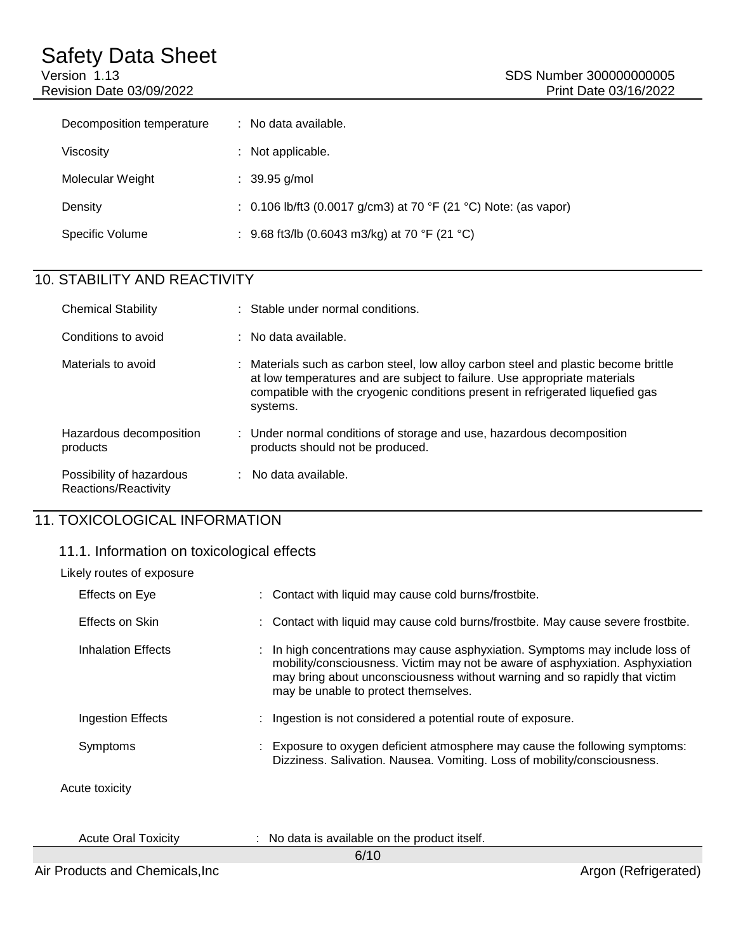Revision Date 03/09/2022

| Decomposition temperature | $:$ No data available.                                            |
|---------------------------|-------------------------------------------------------------------|
| Viscosity                 | : Not applicable.                                                 |
| Molecular Weight          | $: 39.95$ g/mol                                                   |
| Density                   | : $0.106$ lb/ft3 (0.0017 g/cm3) at 70 °F (21 °C) Note: (as vapor) |
| Specific Volume           | : 9.68 ft3/lb (0.6043 m3/kg) at 70 °F (21 °C)                     |

# 10. STABILITY AND REACTIVITY

| <b>Chemical Stability</b>                        | : Stable under normal conditions.                                                                                                                                                                                                                              |
|--------------------------------------------------|----------------------------------------------------------------------------------------------------------------------------------------------------------------------------------------------------------------------------------------------------------------|
| Conditions to avoid                              | $\therefore$ No data available.                                                                                                                                                                                                                                |
| Materials to avoid                               | : Materials such as carbon steel, low alloy carbon steel and plastic become brittle<br>at low temperatures and are subject to failure. Use appropriate materials<br>compatible with the cryogenic conditions present in refrigerated liquefied gas<br>systems. |
| Hazardous decomposition<br>products              | : Under normal conditions of storage and use, hazardous decomposition<br>products should not be produced.                                                                                                                                                      |
| Possibility of hazardous<br>Reactions/Reactivity | $:$ No data available.                                                                                                                                                                                                                                         |

# 11. TOXICOLOGICAL INFORMATION

### 11.1. Information on toxicological effects

| Likely routes of exposure  |                                                                                                                                                                                                                                                                                      |
|----------------------------|--------------------------------------------------------------------------------------------------------------------------------------------------------------------------------------------------------------------------------------------------------------------------------------|
| <b>Effects on Eye</b>      | : Contact with liquid may cause cold burns/frostbite.                                                                                                                                                                                                                                |
| Effects on Skin            | : Contact with liquid may cause cold burns/frostbite. May cause severe frostbite.                                                                                                                                                                                                    |
| Inhalation Effects         | : In high concentrations may cause asphyxiation. Symptoms may include loss of<br>mobility/consciousness. Victim may not be aware of asphyxiation. Asphyxiation<br>may bring about unconsciousness without warning and so rapidly that victim<br>may be unable to protect themselves. |
| Ingestion Effects          | Ingestion is not considered a potential route of exposure.                                                                                                                                                                                                                           |
| Symptoms                   | : Exposure to oxygen deficient atmosphere may cause the following symptoms:<br>Dizziness. Salivation. Nausea. Vomiting. Loss of mobility/consciousness.                                                                                                                              |
| Acute toxicity             |                                                                                                                                                                                                                                                                                      |
| <b>Acute Oral Toxicity</b> | : No data is available on the product itself.                                                                                                                                                                                                                                        |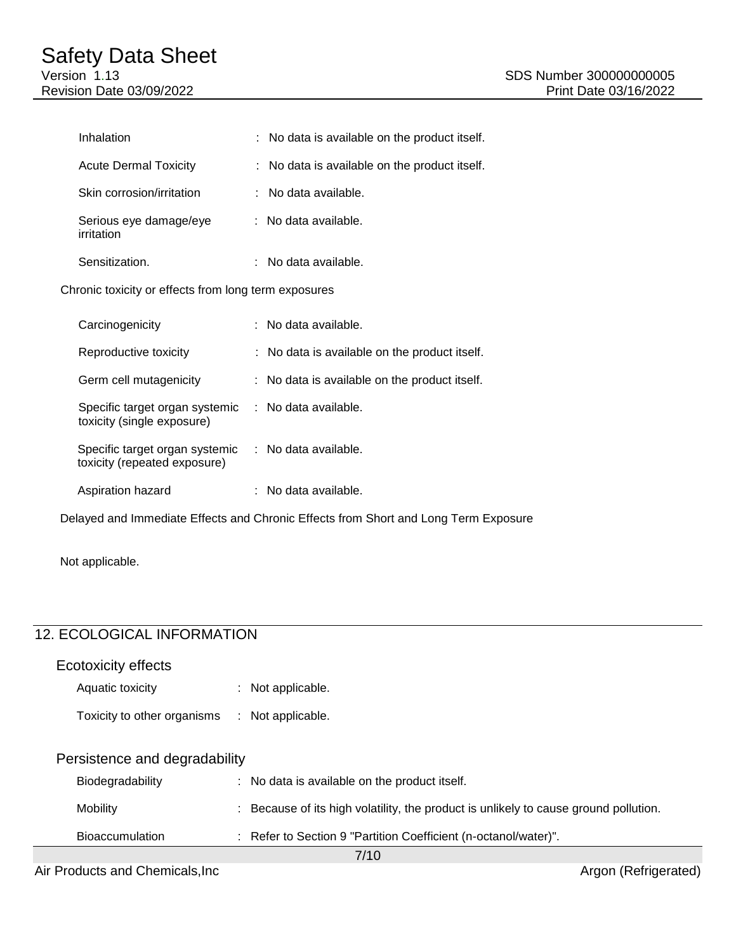|                                                      | Inhalation                           |  | : No data is available on the product itself.            |
|------------------------------------------------------|--------------------------------------|--|----------------------------------------------------------|
|                                                      | <b>Acute Dermal Toxicity</b>         |  | : No data is available on the product itself.            |
|                                                      | Skin corrosion/irritation            |  | $:$ No data available.                                   |
|                                                      | Serious eye damage/eye<br>irritation |  | : No data available.                                     |
|                                                      | Sensitization.                       |  | $:$ No data available.                                   |
| Chronic toxicity or effects from long term exposures |                                      |  |                                                          |
|                                                      | Carcinogenicity                      |  | : No data available.                                     |
|                                                      | Reproductive toxicity                |  | : No data is available on the product itself.            |
|                                                      | Germ cell mutagenicity               |  | $\therefore$ No data is available on the product itself. |
|                                                      |                                      |  |                                                          |

Specific target organ systemic : No data available. toxicity (repeated exposure) Aspiration hazard : No data available.

Specific target organ systemic : No data available.

Delayed and Immediate Effects and Chronic Effects from Short and Long Term Exposure

Not applicable.

## 12. ECOLOGICAL INFORMATION

toxicity (single exposure)

| Ecotoxicity effects           |  |                                                                                      |  |
|-------------------------------|--|--------------------------------------------------------------------------------------|--|
| Aquatic toxicity              |  | : Not applicable.                                                                    |  |
| Toxicity to other organisms   |  | : Not applicable.                                                                    |  |
| Persistence and degradability |  |                                                                                      |  |
| Biodegradability              |  | : No data is available on the product itself.                                        |  |
| <b>Mobility</b>               |  | : Because of its high volatility, the product is unlikely to cause ground pollution. |  |
| <b>Bioaccumulation</b>        |  | : Refer to Section 9 "Partition Coefficient (n-octanol/water)".                      |  |
|                               |  |                                                                                      |  |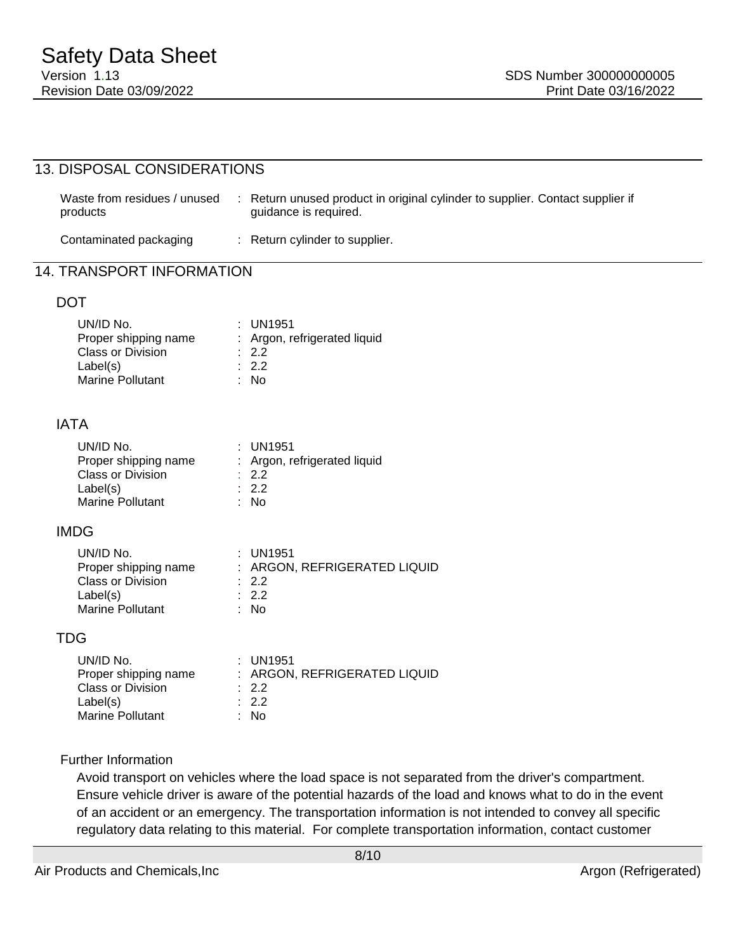| 13. DISPOSAL CONSIDERATIONS                                                                          |                                                                                                                          |  |
|------------------------------------------------------------------------------------------------------|--------------------------------------------------------------------------------------------------------------------------|--|
| Waste from residues / unused<br>products                                                             | : Return unused product in original cylinder to supplier. Contact supplier if<br>guidance is required.                   |  |
| Contaminated packaging                                                                               | : Return cylinder to supplier.                                                                                           |  |
| <b>14. TRANSPORT INFORMATION</b>                                                                     |                                                                                                                          |  |
| <b>DOT</b>                                                                                           |                                                                                                                          |  |
| UN/ID No.<br>Proper surpplus<br>Class or Division<br>Label(s)<br><b>Marine Pollutant</b>             | : UN1951<br>Proper shipping name : Argon, refrigerated liquid<br>$\therefore$ 2.2<br>$\therefore$ 2.2<br>$\therefore$ No |  |
| <b>IATA</b>                                                                                          |                                                                                                                          |  |
| UN/ID No.<br><b>Class or Division</b><br>Label(s)<br><b>Marine Pollutant</b>                         | : UN1951<br>Proper shipping name : Argon, refrigerated liquid<br>$\therefore$ 2.2<br>$\therefore$ 2.2<br>: No            |  |
| <b>IMDG</b>                                                                                          |                                                                                                                          |  |
| UN/ID No.<br><b>Class or Division</b><br>Label(s)<br>Marine Pollutant                                | : UN1951<br>Proper shipping name : ARGON, REFRIGERATED LIQUID<br>$\therefore$ 2.2<br>$\therefore$ 2.2<br>: No            |  |
| <b>TDG</b>                                                                                           |                                                                                                                          |  |
| UN/ID No.<br>Proper shipping name<br><b>Class or Division</b><br>Label(s)<br><b>Marine Pollutant</b> | : UN1951<br>: ARGON, REFRIGERATED LIQUID<br>$\therefore$ 2.2<br>$\therefore$ 2.2<br>: No                                 |  |
| <b>Further Information</b>                                                                           |                                                                                                                          |  |

Avoid transport on vehicles where the load space is not separated from the driver's compartment. Ensure vehicle driver is aware of the potential hazards of the load and knows what to do in the event of an accident or an emergency. The transportation information is not intended to convey all specific regulatory data relating to this material. For complete transportation information, contact customer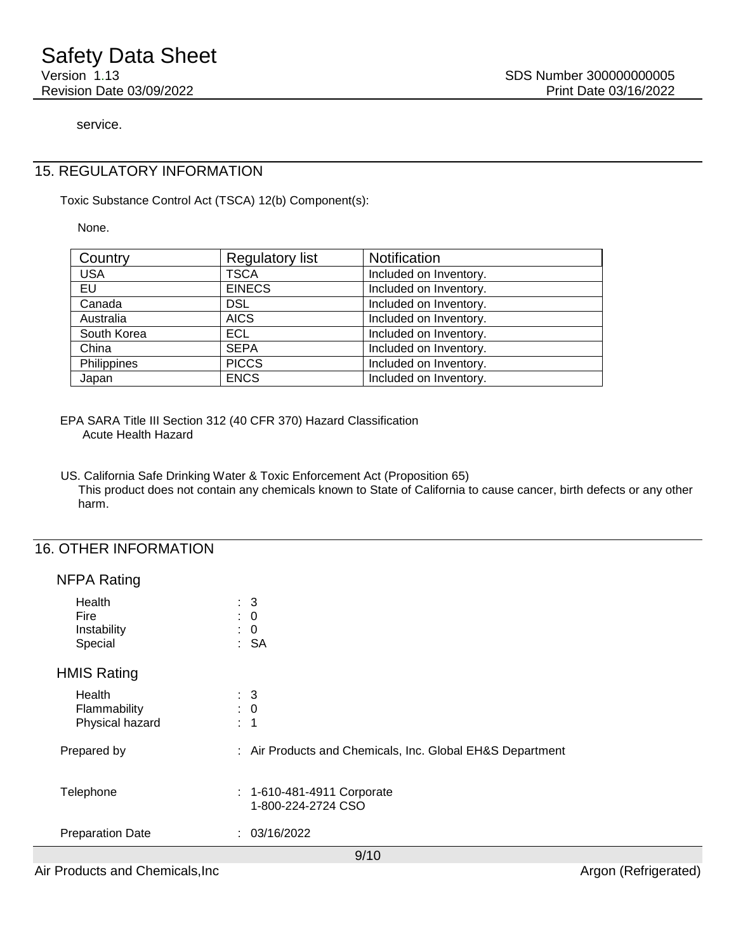service.

#### 15. REGULATORY INFORMATION

Toxic Substance Control Act (TSCA) 12(b) Component(s):

None.

| Country     | <b>Regulatory list</b> | Notification           |
|-------------|------------------------|------------------------|
| <b>USA</b>  | <b>TSCA</b>            | Included on Inventory. |
| EU          | <b>EINECS</b>          | Included on Inventory. |
| Canada      | <b>DSL</b>             | Included on Inventory. |
| Australia   | <b>AICS</b>            | Included on Inventory. |
| South Korea | ECL.                   | Included on Inventory. |
| China       | <b>SEPA</b>            | Included on Inventory. |
| Philippines | <b>PICCS</b>           | Included on Inventory. |
| Japan       | <b>ENCS</b>            | Included on Inventory. |

EPA SARA Title III Section 312 (40 CFR 370) Hazard Classification Acute Health Hazard

US. California Safe Drinking Water & Toxic Enforcement Act (Proposition 65) This product does not contain any chemicals known to State of California to cause cancer, birth defects or any other harm.

#### 16. OTHER INFORMATION

| Health<br><b>Fire</b><br>÷<br>Instability<br>÷<br>Special | $\therefore$ 3<br>$\mathbf 0$<br>$\mathbf 0$<br>: SA      |
|-----------------------------------------------------------|-----------------------------------------------------------|
| <b>HMIS Rating</b>                                        |                                                           |
| Health<br>Flammability<br>Physical hazard<br>÷            | $\therefore$ 3<br>$\therefore$ 0<br>$\overline{1}$        |
| Prepared by                                               | : Air Products and Chemicals, Inc. Global EH&S Department |
| Telephone                                                 | : 1-610-481-4911 Corporate<br>1-800-224-2724 CSO          |
| <b>Preparation Date</b>                                   | : 03/16/2022                                              |
|                                                           | Q/10                                                      |

Air Products and Chemicals, Inc **Argon (Refrigerated)** Argon (Refrigerated)